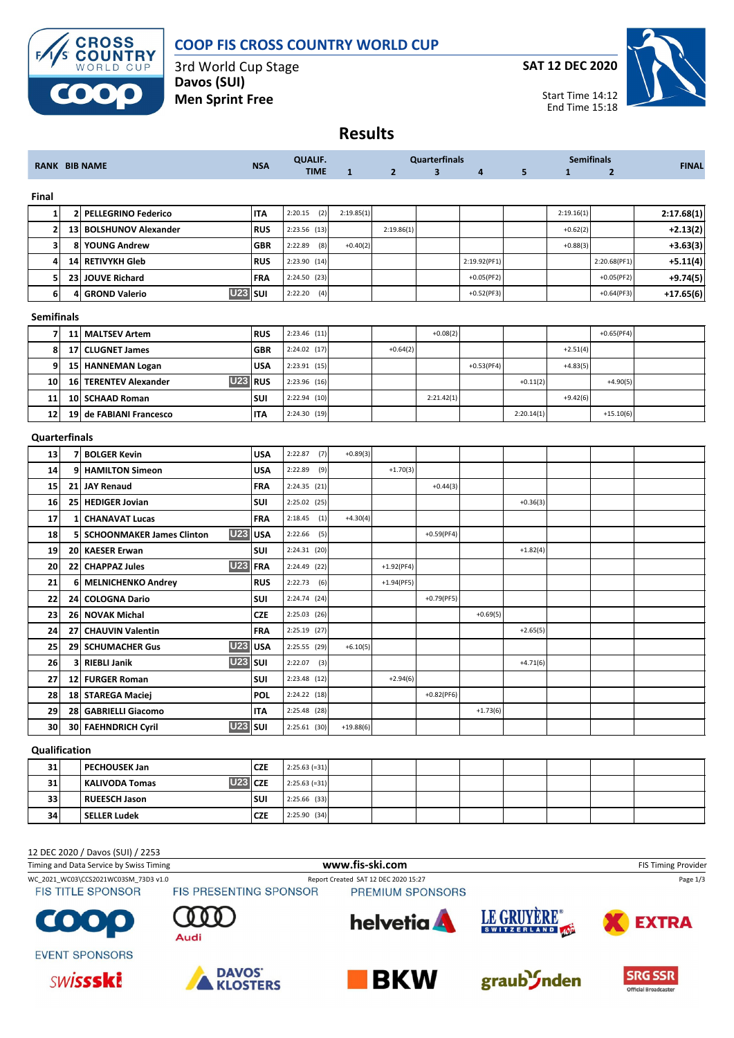

## **COOP FIS CROSS COUNTRY WORLD CUP**

3rd World Cup Stage **Davos (SUI) Men Sprint Free**

**SAT 12 DEC 2020**



**Results**

|                         |                 |                                                |            | <b>QUALIF.</b> |              |                | <b>Quarterfinals</b>    |              |            |              | <b>Semifinals</b> |              |
|-------------------------|-----------------|------------------------------------------------|------------|----------------|--------------|----------------|-------------------------|--------------|------------|--------------|-------------------|--------------|
|                         |                 | <b>RANK BIB NAME</b>                           | <b>NSA</b> | <b>TIME</b>    | $\mathbf{1}$ | $\overline{2}$ | $\overline{\mathbf{3}}$ | 4            | 5          | $\mathbf{1}$ | $\overline{2}$    | <b>FINAL</b> |
| Final                   |                 |                                                |            |                |              |                |                         |              |            |              |                   |              |
| $\mathbf{1}$            | 2               | <b>PELLEGRINO Federico</b>                     | IΤA        | 2:20.15<br>(2) | 2:19.85(1)   |                |                         |              |            | 2:19.16(1)   |                   | 2:17.68(1)   |
| $\overline{\mathbf{2}}$ | 13 <sup>1</sup> | <b>BOLSHUNOV Alexander</b>                     | <b>RUS</b> | 2:23.56 (13)   |              | 2:19.86(1)     |                         |              |            | $+0.62(2)$   |                   | $+2.13(2)$   |
| 3                       | 8               | <b>YOUNG Andrew</b>                            | GBR        | 2:22.89<br>(8) | $+0.40(2)$   |                |                         |              |            | $+0.88(3)$   |                   | $+3.63(3)$   |
| 4                       | 14              | <b>RETIVYKH Gleb</b>                           | <b>RUS</b> | 2:23.90 (14)   |              |                |                         | 2:19.92(PF1) |            |              | 2:20.68(PF1)      | $+5.11(4)$   |
| 5                       | 23 <sup>1</sup> | <b>JOUVE Richard</b>                           | FRA        | 2:24.50 (23)   |              |                |                         | $+0.05(PF2)$ |            |              | $+0.05(PF2)$      | $+9.74(5)$   |
| 6                       | 4               | <b>U23</b><br><b>GROND Valerio</b>             | <b>SUI</b> | 2:22.20<br>(4) |              |                |                         | $+0.52(PF3)$ |            |              | $+0.64(PF3)$      | $+17.65(6)$  |
| <b>Semifinals</b>       |                 |                                                |            |                |              |                |                         |              |            |              |                   |              |
| $\overline{7}$          | 11              | <b>MALTSEV Artem</b>                           | <b>RUS</b> | $2:23.46$ (11) |              |                | $+0.08(2)$              |              |            |              | $+0.65(PF4)$      |              |
| 8                       | 17 <sup>1</sup> | <b>CLUGNET James</b>                           | GBR        | 2:24.02 (17)   |              | $+0.64(2)$     |                         |              |            | $+2.51(4)$   |                   |              |
| 9                       |                 | 15 HANNEMAN Logan                              | <b>USA</b> | 2:23.91 (15)   |              |                |                         | $+0.53(PF4)$ |            | $+4.83(5)$   |                   |              |
| 10                      | 16              | <b>U23</b><br><b>TERENTEV Alexander</b>        | <b>RUS</b> | $2:23.96$ (16) |              |                |                         |              | $+0.11(2)$ |              | $+4.90(5)$        |              |
| 11                      | 10 <sub>l</sub> | <b>SCHAAD Roman</b>                            | SUI        | $2:22.94$ (10) |              |                | 2:21.42(1)              |              |            | $+9.42(6)$   |                   |              |
| 12                      | 19              | de FABIANI Francesco                           | IΤA        | 2:24.30 (19)   |              |                |                         |              | 2:20.14(1) |              | $+15.10(6)$       |              |
| Quarterfinals           |                 |                                                |            |                |              |                |                         |              |            |              |                   |              |
| 13                      | 7               | <b>BOLGER Kevin</b>                            | <b>USA</b> | 2:22.87<br>(7) | $+0.89(3)$   |                |                         |              |            |              |                   |              |
| 14                      | 9               | <b>HAMILTON Simeon</b>                         | <b>USA</b> | 2:22.89<br>(9) |              | $+1.70(3)$     |                         |              |            |              |                   |              |
| 15                      | 21              | <b>JAY Renaud</b>                              | FRA        | $2:24.35$ (21) |              |                | $+0.44(3)$              |              |            |              |                   |              |
| 16                      | 25              | <b>HEDIGER Jovian</b>                          | SUI        | $2:25.02$ (25) |              |                |                         |              | $+0.36(3)$ |              |                   |              |
| 17                      | 1               | <b>CHANAVAT Lucas</b>                          | FRA        | 2:18.45<br>(1) | $+4.30(4)$   |                |                         |              |            |              |                   |              |
| 18                      | 51              | <b>U23</b><br><b>SCHOONMAKER James Clinton</b> | <b>USA</b> | 2:22.66<br>(5) |              |                | $+0.59(PF4)$            |              |            |              |                   |              |
| 19                      | <b>20</b>       | <b>KAESER Erwan</b>                            | SUI        | 2:24.31 (20)   |              |                |                         |              | $+1.82(4)$ |              |                   |              |
| 20                      | 22              | <b>U23</b><br><b>CHAPPAZ Jules</b>             | <b>FRA</b> | 2:24.49 (22)   |              | $+1.92(PF4)$   |                         |              |            |              |                   |              |
| 21                      | 6               | <b>MELNICHENKO Andrey</b>                      | RUS        | 2:22.73<br>(6) |              | $+1.94(PF5)$   |                         |              |            |              |                   |              |
| 22                      | 24              | <b>COLOGNA Dario</b>                           | SUI        | 2:24.74 (24)   |              |                | $+0.79(PF5)$            |              |            |              |                   |              |
| 23                      | 26              | <b>NOVAK Michal</b>                            | <b>CZE</b> | 2:25.03 (26)   |              |                |                         | $+0.69(5)$   |            |              |                   |              |
| 24                      | 27              | <b>CHAUVIN Valentin</b>                        | FRA        | $2:25.19$ (27) |              |                |                         |              | $+2.65(5)$ |              |                   |              |
| 25                      | 29              | <b>U23</b><br><b>SCHUMACHER Gus</b>            | <b>USA</b> | 2:25.55 (29)   | $+6.10(5)$   |                |                         |              |            |              |                   |              |
| 26                      | 3               | <b>U23</b><br><b>RIEBLI Janik</b>              | <b>SUI</b> | 2:22.07<br>(3) |              |                |                         |              | $+4.71(6)$ |              |                   |              |
| 27                      | 12              | <b>FURGER Roman</b>                            | SUI        | 2:23.48 (12)   |              | $+2.94(6)$     |                         |              |            |              |                   |              |
| 28                      |                 | 18 STAREGA Maciej                              | POL        | 2:24.22 (18)   |              |                | $+0.82(PF6)$            |              |            |              |                   |              |
| 29                      | 28              | <b>GABRIELLI Giacomo</b>                       | IΤA        | 2:25.48 (28)   |              |                |                         | $+1.73(6)$   |            |              |                   |              |
| 30                      | 30              | <b>U23</b><br><b>FAEHNDRICH Cyril</b>          | SUI        | $2:25.61$ (30) | $+19.88(6)$  |                |                         |              |            |              |                   |              |

## **PECHOUSEK Jan CZE** 2:25.63 (=31) **KALIVODA Tomas U23 CZE** 2:25.63 (=31) **RUEESCH Jason SUI** 2:25.66 (33) **SELLER Ludek CZE** 2:25.90 (34)

#### 12 DEC 2020 / Davos (SUI) / 2253

| Timing and Data Service by Swiss Timing | www.fis-ski.com               | <b>FIS Timing Provider</b>           |             |              |
|-----------------------------------------|-------------------------------|--------------------------------------|-------------|--------------|
| WC 2021 WC03\CCS2021WC03SM 73D3 v1.0    |                               | Report Created SAT 12 DEC 2020 15:27 |             | Page 1/3     |
| <b>FIS TITLE SPONSOR</b>                | <b>FIS PRESENTING SPONSOR</b> | PREMIUM SPONSORS                     |             |              |
| <b>COOO</b>                             | Audi                          | <b>helvetia</b>                      | LE GRUYERE® | <b>EXTRA</b> |
| <b>EVENT SPONSORS</b>                   |                               |                                      |             |              |









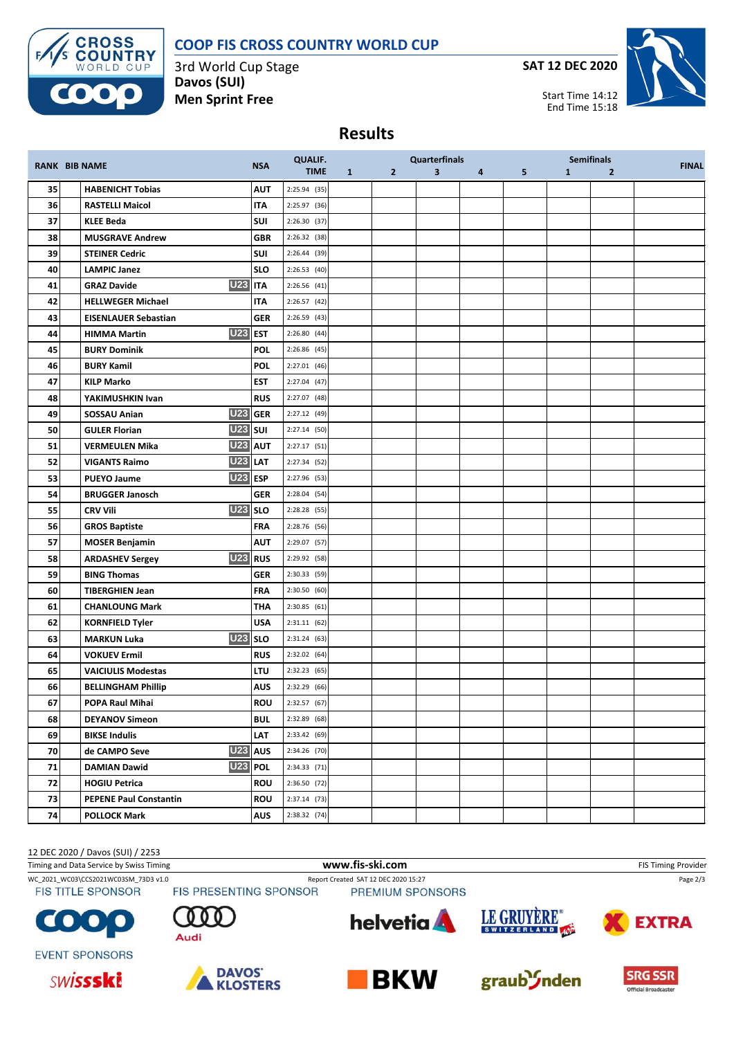# **COOP FIS CROSS COUNTRY WORLD CUP**



3rd World Cup Stage **Davos (SUI) Men Sprint Free**

**SAT 12 DEC 2020**



Start Time 14:12 End Time 15:18

### **Results**

|    |                                               |            | <b>QUALIF.</b> |              |              | <b>Quarterfinals</b> |   |   |              | <b>Semifinals</b> |              |
|----|-----------------------------------------------|------------|----------------|--------------|--------------|----------------------|---|---|--------------|-------------------|--------------|
|    | <b>RANK BIB NAME</b>                          | <b>NSA</b> | <b>TIME</b>    | $\mathbf{1}$ | $\mathbf{2}$ | 3                    | 4 | 5 | $\mathbf{1}$ | $\overline{2}$    | <b>FINAL</b> |
| 35 | <b>HABENICHT Tobias</b>                       | <b>AUT</b> | 2:25.94 (35)   |              |              |                      |   |   |              |                   |              |
| 36 | <b>RASTELLI Maicol</b>                        | <b>ITA</b> | 2:25.97 (36)   |              |              |                      |   |   |              |                   |              |
| 37 | <b>KLEE Beda</b>                              | SUI        | 2:26.30(37)    |              |              |                      |   |   |              |                   |              |
| 38 | <b>MUSGRAVE Andrew</b>                        | <b>GBR</b> | 2:26.32 (38)   |              |              |                      |   |   |              |                   |              |
| 39 | <b>STEINER Cedric</b>                         | SUI        | 2:26.44 (39)   |              |              |                      |   |   |              |                   |              |
| 40 | <b>LAMPIC Janez</b>                           | <b>SLO</b> | 2:26.53(40)    |              |              |                      |   |   |              |                   |              |
| 41 | <b>U23 ITA</b><br><b>GRAZ Davide</b>          |            | 2:26.56(41)    |              |              |                      |   |   |              |                   |              |
| 42 | <b>HELLWEGER Michael</b>                      | IΤΑ        | 2:26.57 (42)   |              |              |                      |   |   |              |                   |              |
| 43 | <b>EISENLAUER Sebastian</b>                   | <b>GER</b> | 2:26.59 (43)   |              |              |                      |   |   |              |                   |              |
| 44 | <b>U23 EST</b><br><b>HIMMA Martin</b>         |            | 2:26.80 (44)   |              |              |                      |   |   |              |                   |              |
| 45 | <b>BURY Dominik</b>                           | <b>POL</b> | 2:26.86 (45)   |              |              |                      |   |   |              |                   |              |
| 46 | <b>BURY Kamil</b>                             | <b>POL</b> | $2:27.01$ (46) |              |              |                      |   |   |              |                   |              |
| 47 | <b>KILP Marko</b>                             | <b>EST</b> | 2:27.04 (47)   |              |              |                      |   |   |              |                   |              |
| 48 | YAKIMUSHKIN Ivan                              | <b>RUS</b> | 2:27.07 (48)   |              |              |                      |   |   |              |                   |              |
| 49 | U23 GER<br>SOSSAU Anian                       |            | 2:27.12 (49)   |              |              |                      |   |   |              |                   |              |
| 50 | <b>U23</b> SUI<br><b>GULER Florian</b>        |            | 2:27.14 (50)   |              |              |                      |   |   |              |                   |              |
| 51 | <b>U23 AUT</b><br><b>VERMEULEN Mika</b>       |            | 2:27.17 (51)   |              |              |                      |   |   |              |                   |              |
| 52 | <b>U23 LAT</b><br><b>VIGANTS Raimo</b>        |            | 2:27.34 (52)   |              |              |                      |   |   |              |                   |              |
| 53 | <b>U23 ESP</b><br><b>PUEYO Jaume</b>          |            | 2:27.96 (53)   |              |              |                      |   |   |              |                   |              |
| 54 | <b>BRUGGER Janosch</b>                        | <b>GER</b> | 2:28.04 (54)   |              |              |                      |   |   |              |                   |              |
| 55 | <b>U23</b> SLO<br><b>CRV Vili</b>             |            | $2:28.28$ (55) |              |              |                      |   |   |              |                   |              |
| 56 | <b>GROS Baptiste</b>                          | <b>FRA</b> | 2:28.76 (56)   |              |              |                      |   |   |              |                   |              |
| 57 | <b>MOSER Benjamin</b>                         | <b>AUT</b> | 2:29.07 (57)   |              |              |                      |   |   |              |                   |              |
| 58 | U <sub>23</sub> RUS<br><b>ARDASHEV Sergey</b> |            | 2:29.92 (58)   |              |              |                      |   |   |              |                   |              |
| 59 | <b>BING Thomas</b>                            | <b>GER</b> | 2:30.33 (59)   |              |              |                      |   |   |              |                   |              |
| 60 | <b>TIBERGHIEN Jean</b>                        | <b>FRA</b> | 2:30.50(60)    |              |              |                      |   |   |              |                   |              |
| 61 | <b>CHANLOUNG Mark</b>                         | <b>THA</b> | 2:30.85(61)    |              |              |                      |   |   |              |                   |              |
| 62 | <b>KORNFIELD Tyler</b>                        | <b>USA</b> | $2:31.11$ (62) |              |              |                      |   |   |              |                   |              |
| 63 | <b>U23</b> SLO<br><b>MARKUN Luka</b>          |            | 2:31.24 (63)   |              |              |                      |   |   |              |                   |              |
| 64 | <b>VOKUEV Ermil</b>                           | <b>RUS</b> | 2:32.02 (64)   |              |              |                      |   |   |              |                   |              |
| 65 | <b>VAICIULIS Modestas</b>                     | <b>LTU</b> | 2:32.23(65)    |              |              |                      |   |   |              |                   |              |
| 66 | <b>BELLINGHAM Phillip</b>                     | <b>AUS</b> | 2:32.29 (66)   |              |              |                      |   |   |              |                   |              |
| 67 | POPA Raul Mihai                               | <b>ROU</b> | 2:32.57(67)    |              |              |                      |   |   |              |                   |              |
| 68 | <b>DEYANOV Simeon</b>                         | <b>BUL</b> | 2:32.89 (68)   |              |              |                      |   |   |              |                   |              |
| 69 | <b>BIKSE Indulis</b>                          | LAT        | 2:33.42 (69)   |              |              |                      |   |   |              |                   |              |
| 70 | U23 AUS<br>de CAMPO Seve                      |            | 2:34.26 (70)   |              |              |                      |   |   |              |                   |              |
| 71 | <b>U23</b><br><b>DAMIAN Dawid</b>             | <b>POL</b> | $2:34.33$ (71) |              |              |                      |   |   |              |                   |              |
| 72 | <b>HOGIU Petrica</b>                          | <b>ROU</b> | 2:36.50 (72)   |              |              |                      |   |   |              |                   |              |
| 73 | <b>PEPENE Paul Constantin</b>                 | <b>ROU</b> | $2:37.14$ (73) |              |              |                      |   |   |              |                   |              |
| 74 | <b>POLLOCK Mark</b>                           | <b>AUS</b> | 2:38.32 (74)   |              |              |                      |   |   |              |                   |              |

#### 12 DEC 2020 / Davos (SUI) / 2253

Timing and Data Service by Swiss Timing **WWW.fis-Ski.com www.fis-ski.com FIS Timing Provider** FIS Timing Provider WC\_2021\_WC03\CCS2021WC03SM\_73D3 v1.0 Report Created SAT 12 DEC 2020 15:27 Page 2/3<br>FIS TITLE SPONSOR FIS PRESENTING SPONSOR PREMIUM SPONSORS LE GRUYÈRE® **helvetia EXTRA** C  $\bullet$ SWITZERLAND 40P Audi **EVENT SPONSORS**